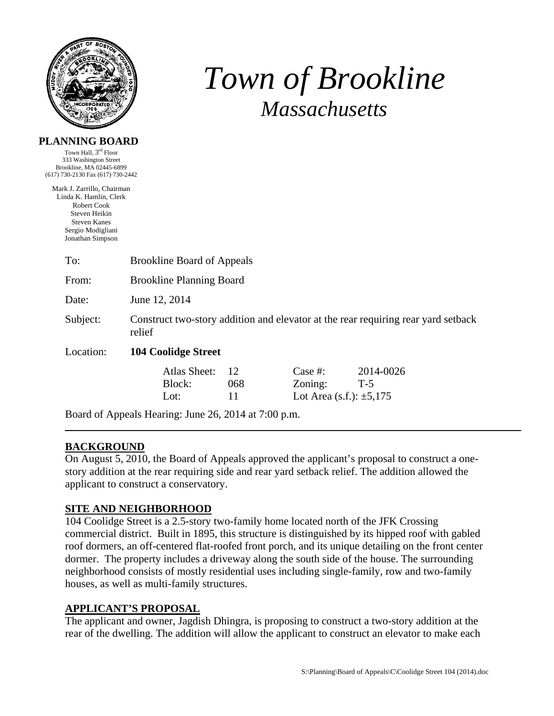

# *Town of Brookline Massachusetts*

#### **PLANNING BOARD**

Town Hall, 3rd Floor 333 Washington Street Brookline, MA 02445-6899 (617) 730-2130 Fax (617) 730-2442

Mark J. Zarrillo, Chairman Linda K. Hamlin, Clerk Robert Cook Steven Heikin Steven Kanes Sergio Modigliani Jonathan Simpson

| To:       | <b>Brookline Board of Appeals</b>                                                           |                  |                                                       |                    |  |  |  |
|-----------|---------------------------------------------------------------------------------------------|------------------|-------------------------------------------------------|--------------------|--|--|--|
| From:     | <b>Brookline Planning Board</b>                                                             |                  |                                                       |                    |  |  |  |
| Date:     | June 12, 2014                                                                               |                  |                                                       |                    |  |  |  |
| Subject:  | Construct two-story addition and elevator at the rear requiring rear yard setback<br>relief |                  |                                                       |                    |  |  |  |
| Location: | <b>104 Coolidge Street</b>                                                                  |                  |                                                       |                    |  |  |  |
|           | Atlas Sheet:<br>Block:<br>Lot:                                                              | -12<br>068<br>11 | Case $#$ :<br>Zoning:<br>Lot Area (s.f.): $\pm 5,175$ | 2014-0026<br>$T-5$ |  |  |  |
|           | Board of Appeals Hearing: June 26, 2014 at 7:00 p.m.                                        |                  |                                                       |                    |  |  |  |

## **BACKGROUND**

On August 5, 2010, the Board of Appeals approved the applicant's proposal to construct a onestory addition at the rear requiring side and rear yard setback relief. The addition allowed the applicant to construct a conservatory.

## **SITE AND NEIGHBORHOOD**

104 Coolidge Street is a 2.5-story two-family home located north of the JFK Crossing commercial district. Built in 1895, this structure is distinguished by its hipped roof with gabled roof dormers, an off-centered flat-roofed front porch, and its unique detailing on the front center dormer. The property includes a driveway along the south side of the house. The surrounding neighborhood consists of mostly residential uses including single-family, row and two-family houses, as well as multi-family structures.

#### **APPLICANT'S PROPOSAL**

The applicant and owner, Jagdish Dhingra, is proposing to construct a two-story addition at the rear of the dwelling. The addition will allow the applicant to construct an elevator to make each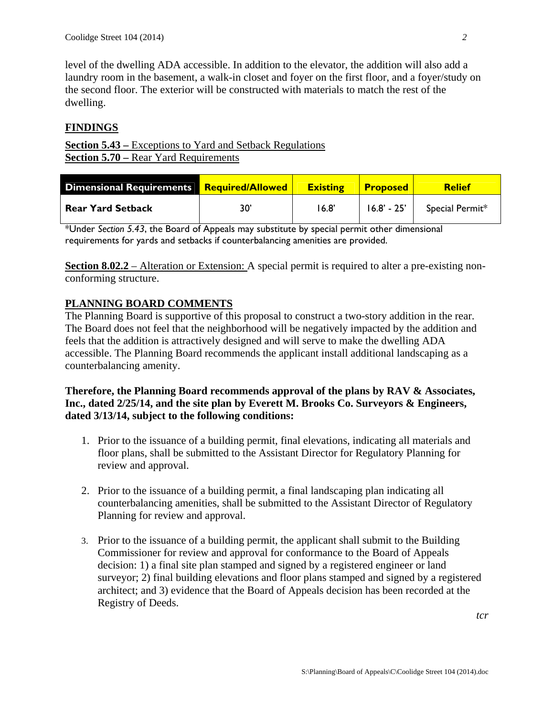level of the dwelling ADA accessible. In addition to the elevator, the addition will also add a laundry room in the basement, a walk-in closet and foyer on the first floor, and a foyer/study on the second floor. The exterior will be constructed with materials to match the rest of the dwelling.

# **FINDINGS**

**<u>Section 5.43 – Exceptions</u>** to Yard and Setback Regulations **Section 5.70 – Rear Yard Requirements** 

| <b>Dimensional Requirements Required/Allowed</b> |     | <b>Existing</b> | <b>Proposed</b> | <b>Relief</b>   |
|--------------------------------------------------|-----|-----------------|-----------------|-----------------|
| <b>Rear Yard Setback</b>                         | 30' | 16.8'           | $16.8' - 25'$   | Special Permit* |

\*Under *Section 5.43*, the Board of Appeals may substitute by special permit other dimensional requirements for yards and setbacks if counterbalancing amenities are provided.

**Section 8.02.2** – Alteration or Extension: A special permit is required to alter a pre-existing nonconforming structure.

# **PLANNING BOARD COMMENTS**

The Planning Board is supportive of this proposal to construct a two-story addition in the rear. The Board does not feel that the neighborhood will be negatively impacted by the addition and feels that the addition is attractively designed and will serve to make the dwelling ADA accessible. The Planning Board recommends the applicant install additional landscaping as a counterbalancing amenity.

### **Therefore, the Planning Board recommends approval of the plans by RAV & Associates, Inc., dated 2/25/14, and the site plan by Everett M. Brooks Co. Surveyors & Engineers, dated 3/13/14, subject to the following conditions:**

- 1. Prior to the issuance of a building permit, final elevations, indicating all materials and floor plans, shall be submitted to the Assistant Director for Regulatory Planning for review and approval.
- 2. Prior to the issuance of a building permit, a final landscaping plan indicating all counterbalancing amenities, shall be submitted to the Assistant Director of Regulatory Planning for review and approval.
- 3. Prior to the issuance of a building permit, the applicant shall submit to the Building Commissioner for review and approval for conformance to the Board of Appeals decision: 1) a final site plan stamped and signed by a registered engineer or land surveyor; 2) final building elevations and floor plans stamped and signed by a registered architect; and 3) evidence that the Board of Appeals decision has been recorded at the Registry of Deeds.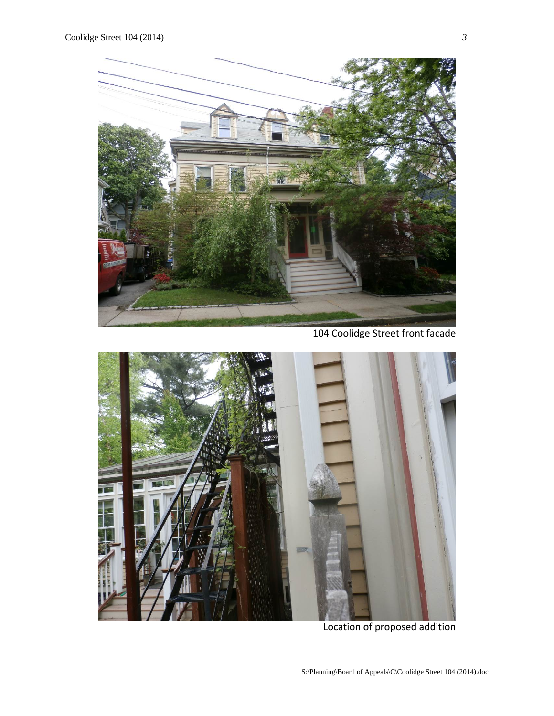

104 Coolidge Street front facade



Location of proposed addition